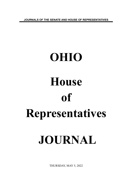**JOURNALS OF THE SENATE AND HOUSE OF REPRESENTATIVES**

# **OHIO House of Representatives JOURNAL**

THURSDAY, MAY 5, 2022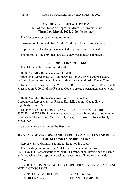# ONE HUNDRED FIFTY-THIRD DAY Hall of the House of Representatives, Columbus, Ohio **Thursday, May 5, 2022, 9:00 o'clock a.m.**

The House met pursuant to adjournment.

Pursuant to House Rule No. 23, the Clerk called the House to order.

Representative Baldridge was selected to preside under the Rule.

The journal of the previous legislative day was read and approved.

#### **INTRODUCTION OF BILLS**

The following bills were introduced:

**H. B. No. 641 -** Representative Skindell.

Cosponsors: Representatives Humphrey, Miller, A., Troy, Lepore-Hagan, O'Brien, Ingram, Smith, K., Hicks-Hudson, Brent, Galonski, Davis, West.

To amend sections 3501.05, 3501.11, 3503.14, 3503.20, and 3503.28 and to enact section 3509.11 of the Revised Code to create a permanent absent voter list.

**H. B. No. 642 -** Representatives Smith, K., Weinstein. Cosponsors: Representatives Russo, Skindell, Lepore-Hagan, Brent, Lightbody, Smith, M.

To amend sections 122.075, 125.831, 125.834, 125.836, 4511.101, 5537.30, and 5735.40 of the Revised Code to generally require all state motor vehicles purchased after December 31, 2029, to be powered by electricity exclusively.

Said bills were considered the first time.

# **REPORTS OF STANDING AND SELECT COMMITTEES AND BILLS FOR SECOND CONSIDERATION**

Representative Galonski submitted the following report:

The standing committee on Civil Justice to which was referred **H. B. No. 441**-Representatives Wiggam, Cutrona, et al., having had the same under consideration, reports it back as a substitute bill and recommends its passage.

RE: REGARDS INTERACTIVE COMPUTER SERVICES AND SOCIAL MEDIA CENSORSHIP

| BRETT HUDSON HILLYER | AL CUTRONA              |
|----------------------|-------------------------|
| DARRELL KICK         | <b>BRIAN E. LAMPTON</b> |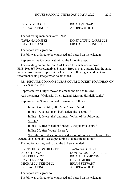DEREK MERRIN BRIAN STEWART D. J. SWEARINGEN ANDREA WHITE

The following members voted "NO"

TAVIA GALONSKI DONTAVIUS L. JARRELLS DAVID LELAND MICHAEL J. SKINDELL

The report was agreed to.

The bill was ordered to be engrossed and placed on the calendar.

Representative Galonski submitted the following report:

The standing committee on Civil Justice to which was referred **H. B. No. 567**-Representatives Stewart, Brown, et al., having had the same under consideration, reports it back with the following amendment and recommends its passage when so amended.

RE: REQUIRE COMMON PLEAS COURT DOCKET TO APPEAR ON CLERK'S WEB SITE

Representative Hillyer moved to amend the title as follows:

Add the names: "Galonski, Kick, Leland, Merrin, Skindell, White"

Representative Stewart moved to amend as follows:

In line 4 of the title, after "each" insert "civil"

In line 47, delete "may, but"; delete the second ","

In line 48, delete "the" and insert "either of the following: (a) The"

In line 49, after "relations" insert ", the juvenile court,"

In line 50, after "court" insert ";

(b) If the court does not have a division of domestic relations, the general docket in civil cases pertaining to domestic relations"

The motion was agreed to and the bill so amended.

BRETT HUDSON HILLYER TAVIA GALONSKI AL CUTRONA DONTAVIUS L. JARRELLS DARRELL KICK BRIAN E. LAMPTON DAVID LELAND DEREK MERRIN MICHAEL J. SKINDELL BRIAN STEWART D. J. SWEARINGEN ANDREA WHITE

The report was agreed to.

The bill was ordered to be engrossed and placed on the calendar.

2719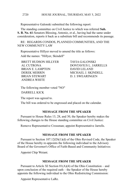#### HOUSE JOURNAL, THURSDAY, MAY 5, 2022 2720

Representative Galonski submitted the following report:

The standing committee on Civil Justice to which was referred **Sub. S. B. No. 61**-Senators Blessing, Antonio, et al., having had the same under consideration, reports it back as a substitute bill and recommends its passage.

RE: REGARDS CONDOS, PLANNED COMMUNITIES, AND THE NEW COMMUNITY LAW

Representative Hillyer moved to amend the title as follows:

Add the names: "Hillyer, Skindell"

BRETT HUDSON HILLYER TAVIA GALONSKI<br>AL CUTRONA DONTAVIUS L. JAF BRIAN E. LAMPTON DAVID LELAND DEREK MERRIN MICHAEL J. SKINDELL BRIAN STEWART D. J. SWEARINGEN ANDREA WHITE

DONTAVIUS L. JARRELLS

The following member voted "NO"

DARRELL KICK

The report was agreed to.

The bill was ordered to be engrossed and placed on the calendar.

# **MESSAGE FROM THE SPEAKER**

Pursuant to House Rules 13, 28, and 30, the Speaker hereby makes the following changes to the House standing committee on Civil Justice:

Remove Representative Crossman; appoint Representative Jarrells.

#### **MESSAGE FROM THE SPEAKER**

Pursuant to Section 107.12(D)(1)(d) of the Ohio Revised Code, the Speaker of the House hereby re-appoints the following individual to the Advisory Board of the Governor's Office of Faith-Based and Community Initiatives:

Appoint Chip Weiant.

#### **MESSAGE FROM THE SPEAKER**

Pursuant to Article XI Section  $01(A)(4)$  of the Ohio Constitution – and upon conclusion of the required oath – the Speaker of the House hereby appoints the following individual to the Ohio Redistricting Commission:

Appoint Representative LaRe.